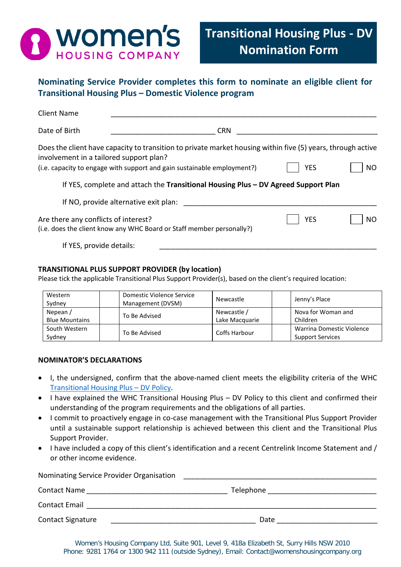

**Nominating Service Provider completes this form to nominate an eligible client for Transitional Housing Plus – Domestic Violence program**

| <b>Client Name</b>                      |                                                                                                                                                                                        |            |                |
|-----------------------------------------|----------------------------------------------------------------------------------------------------------------------------------------------------------------------------------------|------------|----------------|
| Date of Birth                           | <b>CRN</b>                                                                                                                                                                             |            |                |
| involvement in a tailored support plan? | Does the client have capacity to transition to private market housing within five (5) years, through active<br>(i.e. capacity to engage with support and gain sustainable employment?) | <b>YES</b> | N <sub>O</sub> |
|                                         | If YES, complete and attach the Transitional Housing Plus - DV Agreed Support Plan                                                                                                     |            |                |
|                                         | If NO, provide alternative exit plan:                                                                                                                                                  |            |                |
| Are there any conflicts of interest?    | (i.e. does the client know any WHC Board or Staff member personally?)                                                                                                                  | <b>YES</b> | <b>NO</b>      |
| If YES, provide details:                |                                                                                                                                                                                        |            |                |

# **TRANSITIONAL PLUS SUPPORT PROVIDER (by location)**

Please tick the applicable Transitional Plus Support Provider(s), based on the client's required location:

| Western<br>Sydney     | Domestic Violence Service<br>Management (DVSM) | Newcastle      | Jenny's Place             |
|-----------------------|------------------------------------------------|----------------|---------------------------|
| Nepean/               | To Be Advised                                  | Newcastle /    | Nova for Woman and        |
| <b>Blue Mountains</b> |                                                | Lake Macquarie | Children                  |
| South Western         | To Be Advised                                  | Coffs Harbour  | Warrina Domestic Violence |
| Sydney                |                                                |                | <b>Support Services</b>   |

## **NOMINATOR'S DECLARATIONS**

- I, the undersigned, confirm that the above-named client meets the eligibility criteria of the WHC [Transitional Housing](http://www.womenshousingcompany.org.au/uploads/tenants/housing-services/Transitional-Housing-Plus-Policy---Dec-2019-004909.pdf) Plus – DV Policy.
- I have explained the WHC Transitional Housing Plus DV Policy to this client and confirmed their understanding of the program requirements and the obligations of all parties.
- I commit to proactively engage in co-case management with the Transitional Plus Support Provider until a sustainable support relationship is achieved between this client and the Transitional Plus Support Provider.
- I have included a copy of this client's identification and a recent Centrelink Income Statement and / or other income evidence.

| Nominating Service Provider Organisation |           |  |
|------------------------------------------|-----------|--|
| <b>Contact Name</b>                      | Telephone |  |
| <b>Contact Email</b>                     |           |  |
| <b>Contact Signature</b>                 | Date      |  |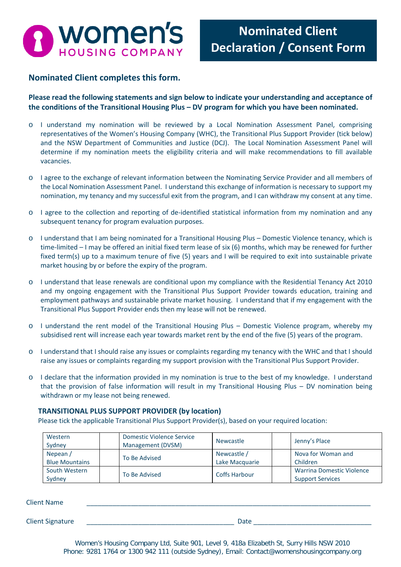

# **Nominated Client completes this form.**

**Please read the following statements and sign below to indicate your understanding and acceptance of the conditions of the Transitional Housing Plus – DV program for which you have been nominated.** 

- o I understand my nomination will be reviewed by a Local Nomination Assessment Panel, comprising representatives of the Women's Housing Company (WHC), the Transitional Plus Support Provider (tick below) and the NSW Department of Communities and Justice (DCJ). The Local Nomination Assessment Panel will determine if my nomination meets the eligibility criteria and will make recommendations to fill available vacancies.
- o I agree to the exchange of relevant information between the Nominating Service Provider and all members of the Local Nomination Assessment Panel. I understand this exchange of information is necessary to support my nomination, my tenancy and my successful exit from the program, and I can withdraw my consent at any time.
- o I agree to the collection and reporting of de-identified statistical information from my nomination and any subsequent tenancy for program evaluation purposes.
- o I understand that I am being nominated for a Transitional Housing Plus Domestic Violence tenancy, which is time-limited – I may be offered an initial fixed term lease of six (6) months, which may be renewed for further fixed term(s) up to a maximum tenure of five (5) years and I will be required to exit into sustainable private market housing by or before the expiry of the program.
- o I understand that lease renewals are conditional upon my compliance with the Residential Tenancy Act 2010 and my ongoing engagement with the Transitional Plus Support Provider towards education, training and employment pathways and sustainable private market housing. I understand that if my engagement with the Transitional Plus Support Provider ends then my lease will not be renewed.
- o I understand the rent model of the Transitional Housing Plus Domestic Violence program, whereby my subsidised rent will increase each year towards market rent by the end of the five (5) years of the program.
- o I understand that I should raise any issues or complaints regarding my tenancy with the WHC and that I should raise any issues or complaints regarding my support provision with the Transitional Plus Support Provider.
- o I declare that the information provided in my nomination is true to the best of my knowledge. I understand that the provision of false information will result in my Transitional Housing Plus – DV nomination being withdrawn or my lease not being renewed.

## **TRANSITIONAL PLUS SUPPORT PROVIDER (by location)**

Please tick the applicable Transitional Plus Support Provider(s), based on your required location:

| Western<br>Sydney                 | <b>Domestic Violence Service</b><br>Management (DVSM) | Newcastle                     | Jenny's Place                                               |
|-----------------------------------|-------------------------------------------------------|-------------------------------|-------------------------------------------------------------|
| Nepean /<br><b>Blue Mountains</b> | To Be Advised                                         | Newcastle /<br>Lake Macquarie | Nova for Woman and<br>Children                              |
| South Western<br>Sydney           | To Be Advised                                         | <b>Coffs Harbour</b>          | <b>Warrina Domestic Violence</b><br><b>Support Services</b> |

Client Name \_\_\_\_\_\_\_\_\_\_\_\_\_\_\_\_\_\_\_\_\_\_\_\_\_\_\_\_\_\_\_\_\_\_\_\_\_\_\_\_\_\_\_\_\_\_\_\_\_\_\_\_\_\_\_\_\_\_\_\_\_\_\_\_\_\_\_\_\_\_\_\_\_\_\_\_\_ Client Signature \_\_\_\_\_\_\_\_\_\_\_\_\_\_\_\_\_\_\_\_\_\_\_\_\_\_\_\_\_\_\_\_\_\_\_\_\_\_\_\_ Date \_\_\_\_\_\_\_\_\_\_\_\_\_\_\_\_\_\_\_\_\_\_\_\_\_\_\_\_\_\_\_\_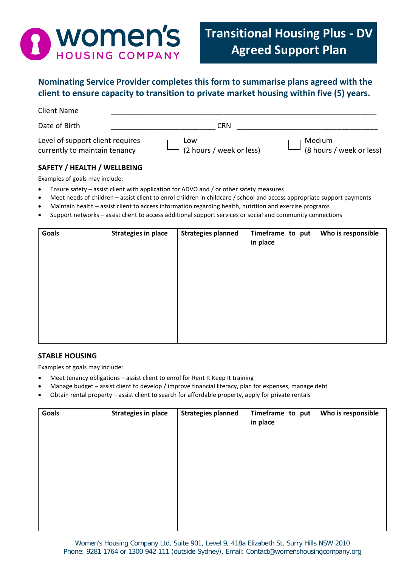

# **Nominating Service Provider completes this form to summarise plans agreed with the client to ensure capacity to transition to private market housing within five (5) years.**

| Date of Birth<br>CRN<br>Level of support client requires<br>Medium<br>Low<br>(2 hours / week or less)<br>currently to maintain tenancy | <b>Client Name</b> |                          |
|----------------------------------------------------------------------------------------------------------------------------------------|--------------------|--------------------------|
|                                                                                                                                        |                    |                          |
|                                                                                                                                        |                    | (8 hours / week or less) |

# **SAFETY / HEALTH / WELLBEING**

Examples of goals may include:

- Ensure safety assist client with application for ADVO and / or other safety measures
- Meet needs of children assist client to enrol children in childcare / school and access appropriate support payments
- Maintain health assist client to access information regarding health, nutrition and exercise programs
- Support networks assist client to access additional support services or social and community connections

| <b>Goals</b> | <b>Strategies in place</b> | <b>Strategies planned</b> | Timeframe to put<br>in place | Who is responsible |
|--------------|----------------------------|---------------------------|------------------------------|--------------------|
|              |                            |                           |                              |                    |
|              |                            |                           |                              |                    |
|              |                            |                           |                              |                    |
|              |                            |                           |                              |                    |
|              |                            |                           |                              |                    |

## **STABLE HOUSING**

Examples of goals may include:

- Meet tenancy obligations assist client to enrol for Rent It Keep It training
- Manage budget assist client to develop / improve financial literacy, plan for expenses, manage debt
- Obtain rental property assist client to search for affordable property, apply for private rentals

| Goals | <b>Strategies in place</b> | <b>Strategies planned</b> | Timeframe to put<br>in place | Who is responsible |
|-------|----------------------------|---------------------------|------------------------------|--------------------|
|       |                            |                           |                              |                    |
|       |                            |                           |                              |                    |
|       |                            |                           |                              |                    |
|       |                            |                           |                              |                    |
|       |                            |                           |                              |                    |
|       |                            |                           |                              |                    |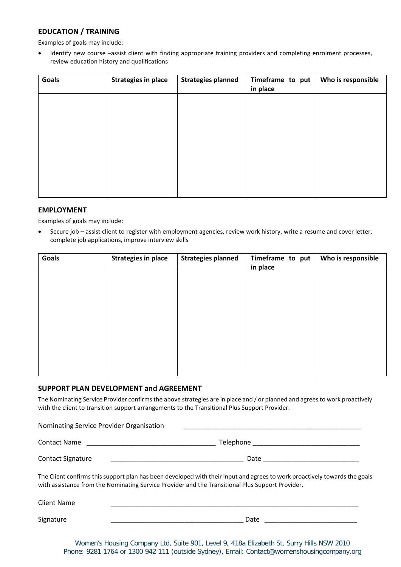# **EDUCATION / TRAINING**

Examples of goals may include:

• Identify new course –assist client with finding appropriate training providers and completing enrolment processes, review education history and qualifications

| Goals | <b>Strategies in place</b> | <b>Strategies planned</b> | Timeframe to put<br>in place | Who is responsible |
|-------|----------------------------|---------------------------|------------------------------|--------------------|
|       |                            |                           |                              |                    |
|       |                            |                           |                              |                    |
|       |                            |                           |                              |                    |
|       |                            |                           |                              |                    |
|       |                            |                           |                              |                    |
|       |                            |                           |                              |                    |

## **EMPLOYMENT**

Examples of goals may include:

• Secure job – assist client to register with employment agencies, review work history, write a resume and cover letter, complete job applications, improve interview skills

| <b>Goals</b> | <b>Strategies in place</b> | <b>Strategies planned</b> | Timeframe to put<br>in place | Who is responsible |
|--------------|----------------------------|---------------------------|------------------------------|--------------------|
|              |                            |                           |                              |                    |
|              |                            |                           |                              |                    |
|              |                            |                           |                              |                    |
|              |                            |                           |                              |                    |
|              |                            |                           |                              |                    |
|              |                            |                           |                              |                    |

## **SUPPORT PLAN DEVELOPMENT and AGREEMENT**

The Nominating Service Provider confirms the above strategies are in place and / or planned and agrees to work proactively with the client to transition support arrangements to the Transitional Plus Support Provider.

| Nominating Service Provider Organisation |           |  |
|------------------------------------------|-----------|--|
| <b>Contact Name</b>                      | Telephone |  |
| <b>Contact Signature</b>                 | Date      |  |

The Client confirms this support plan has been developed with their input and agrees to work proactively towards the goals with assistance from the Nominating Service Provider and the Transitional Plus Support Provider.

| <b>Client Name</b> |      |
|--------------------|------|
| Signature          | Date |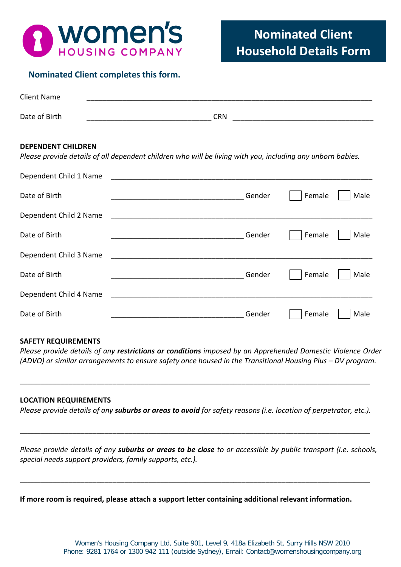

# **Nominated Client completes this form.**

| <b>Client Name</b> |            |
|--------------------|------------|
|                    |            |
| Date of Birth      | <b>CRN</b> |

## **DEPENDENT CHILDREN**

*Please provide details of all dependent children who will be living with you, including any unborn babies.*

| Dependent Child 1 Name |                  |      |
|------------------------|------------------|------|
| Date of Birth          | Female<br>Gender | Male |
| Dependent Child 2 Name |                  |      |
| Date of Birth          | Gender<br>Female | Male |
| Dependent Child 3 Name |                  |      |
| Date of Birth          | Gender<br>Female | Male |
| Dependent Child 4 Name |                  |      |
| Date of Birth          | Gender<br>Female | Male |

## **SAFETY REQUIREMENTS**

*Please provide details of any restrictions or conditions imposed by an Apprehended Domestic Violence Order (ADVO) or similar arrangements to ensure safety once housed in the Transitional Housing Plus – DV program.*

## **LOCATION REQUIREMENTS**

*Please provide details of any suburbs or areas to avoid for safety reasons (i.e. location of perpetrator, etc.).*

\_\_\_\_\_\_\_\_\_\_\_\_\_\_\_\_\_\_\_\_\_\_\_\_\_\_\_\_\_\_\_\_\_\_\_\_\_\_\_\_\_\_\_\_\_\_\_\_\_\_\_\_\_\_\_\_\_\_\_\_\_\_\_\_\_\_\_\_\_\_\_\_\_\_\_\_\_\_\_\_\_\_\_\_\_\_\_

\_\_\_\_\_\_\_\_\_\_\_\_\_\_\_\_\_\_\_\_\_\_\_\_\_\_\_\_\_\_\_\_\_\_\_\_\_\_\_\_\_\_\_\_\_\_\_\_\_\_\_\_\_\_\_\_\_\_\_\_\_\_\_\_\_\_\_\_\_\_\_\_\_\_\_\_\_\_\_\_\_\_\_\_\_\_\_

*Please provide details of any suburbs or areas to be close to or accessible by public transport (i.e. schools, special needs support providers, family supports, etc.).*

\_\_\_\_\_\_\_\_\_\_\_\_\_\_\_\_\_\_\_\_\_\_\_\_\_\_\_\_\_\_\_\_\_\_\_\_\_\_\_\_\_\_\_\_\_\_\_\_\_\_\_\_\_\_\_\_\_\_\_\_\_\_\_\_\_\_\_\_\_\_\_\_\_\_\_\_\_\_\_\_\_\_\_\_\_\_\_

**If more room is required, please attach a support letter containing additional relevant information.**